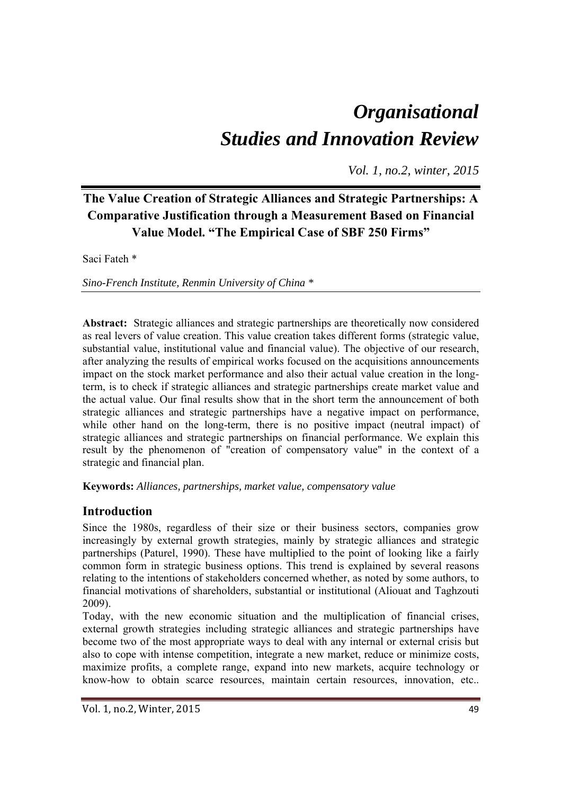# *Organisational Studies and Innovation Review*

*Vol. 1, no.2, winter, 2015*

## **The Value Creation of Strategic Alliances and Strategic Partnerships: A Comparative Justification through a Measurement Based on Financial Value Model. "The Empirical Case of SBF 250 Firms"**

Saci Fateh \*

*Sino-French Institute, Renmin University of China \** 

**Abstract:** Strategic alliances and strategic partnerships are theoretically now considered as real levers of value creation. This value creation takes different forms (strategic value, substantial value, institutional value and financial value). The objective of our research, after analyzing the results of empirical works focused on the acquisitions announcements impact on the stock market performance and also their actual value creation in the longterm, is to check if strategic alliances and strategic partnerships create market value and the actual value. Our final results show that in the short term the announcement of both strategic alliances and strategic partnerships have a negative impact on performance, while other hand on the long-term, there is no positive impact (neutral impact) of strategic alliances and strategic partnerships on financial performance. We explain this result by the phenomenon of "creation of compensatory value" in the context of a strategic and financial plan.

**Keywords:** *Alliances, partnerships, market value, compensatory value*

## **Introduction**

Since the 1980s, regardless of their size or their business sectors, companies grow increasingly by external growth strategies, mainly by strategic alliances and strategic partnerships (Paturel, 1990). These have multiplied to the point of looking like a fairly common form in strategic business options. This trend is explained by several reasons relating to the intentions of stakeholders concerned whether, as noted by some authors, to financial motivations of shareholders, substantial or institutional (Aliouat and Taghzouti 2009).

Today, with the new economic situation and the multiplication of financial crises, external growth strategies including strategic alliances and strategic partnerships have become two of the most appropriate ways to deal with any internal or external crisis but also to cope with intense competition, integrate a new market, reduce or minimize costs, maximize profits, a complete range, expand into new markets, acquire technology or know-how to obtain scarce resources, maintain certain resources, innovation, etc..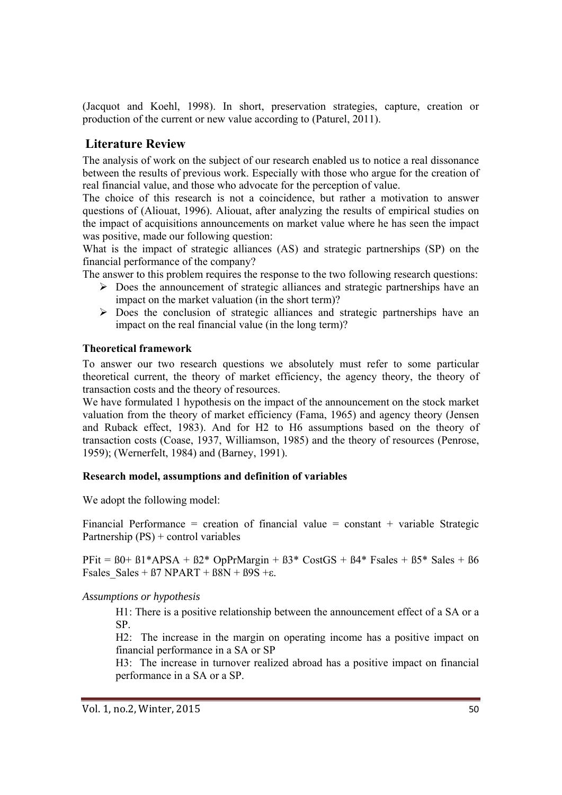(Jacquot and Koehl, 1998). In short, preservation strategies, capture, creation or production of the current or new value according to (Paturel, 2011).

## **Literature Review**

The analysis of work on the subject of our research enabled us to notice a real dissonance between the results of previous work. Especially with those who argue for the creation of real financial value, and those who advocate for the perception of value.

The choice of this research is not a coincidence, but rather a motivation to answer questions of (Aliouat, 1996). Aliouat, after analyzing the results of empirical studies on the impact of acquisitions announcements on market value where he has seen the impact was positive, made our following question:

What is the impact of strategic alliances (AS) and strategic partnerships (SP) on the financial performance of the company?

The answer to this problem requires the response to the two following research questions:

- $\triangleright$  Does the announcement of strategic alliances and strategic partnerships have an impact on the market valuation (in the short term)?
- $\triangleright$  Does the conclusion of strategic alliances and strategic partnerships have an impact on the real financial value (in the long term)?

#### **Theoretical framework**

To answer our two research questions we absolutely must refer to some particular theoretical current, the theory of market efficiency, the agency theory, the theory of transaction costs and the theory of resources.

We have formulated 1 hypothesis on the impact of the announcement on the stock market valuation from the theory of market efficiency (Fama, 1965) and agency theory (Jensen and Ruback effect, 1983). And for H2 to H6 assumptions based on the theory of transaction costs (Coase, 1937, Williamson, 1985) and the theory of resources (Penrose, 1959); (Wernerfelt, 1984) and (Barney, 1991).

#### **Research model, assumptions and definition of variables**

We adopt the following model:

Financial Performance = creation of financial value = constant + variable Strategic Partnership (PS) + control variables

PFit =  $80+81*APSA + B2* OpPrMargin + B3* CostGS + B4* Fsales + B5* Sales + B6$ Fsales Sales +  $\beta$ 7 NPART +  $\beta$ 8N +  $\beta$ 9S + $\varepsilon$ .

*Assumptions or hypothesis* 

H1: There is a positive relationship between the announcement effect of a SA or a SP.

H2: The increase in the margin on operating income has a positive impact on financial performance in a SA or SP

H3: The increase in turnover realized abroad has a positive impact on financial performance in a SA or a SP.

Vol. 1, no.2, Winter, 2015 **50**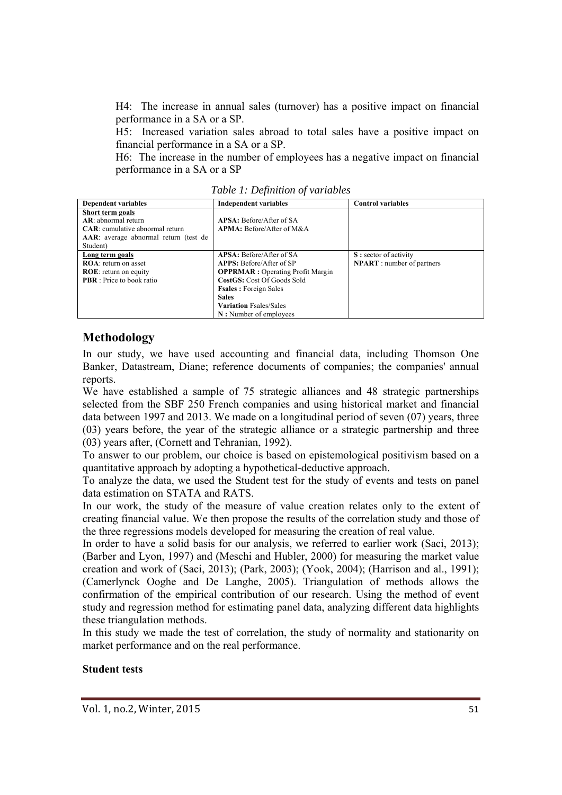H4: The increase in annual sales (turnover) has a positive impact on financial performance in a SA or a SP.

H5: Increased variation sales abroad to total sales have a positive impact on financial performance in a SA or a SP.

H6: The increase in the number of employees has a negative impact on financial performance in a SA or a SP

| <b>Dependent variables</b>              | Independent variables                    | <b>Control variables</b>          |
|-----------------------------------------|------------------------------------------|-----------------------------------|
| Short term goals                        |                                          |                                   |
| $AR:$ abnormal return                   | APSA: Before/After of SA                 |                                   |
| <b>CAR</b> : cumulative abnormal return | APMA: Before/After of M&A                |                                   |
| AAR: average abnormal return (test de   |                                          |                                   |
| Student)                                |                                          |                                   |
| Long term goals                         | APSA: Before/After of SA                 | S: sector of activity             |
| <b>ROA</b> : return on asset            | <b>APPS:</b> Before/After of SP          | <b>NPART</b> : number of partners |
| <b>ROE:</b> return on equity            | <b>OPPRMAR</b> : Operating Profit Margin |                                   |
| <b>PBR</b> : Price to book ratio        | CostGS: Cost Of Goods Sold               |                                   |
|                                         | <b>Fsales</b> : Foreign Sales            |                                   |
|                                         | <b>Sales</b>                             |                                   |
|                                         | <b>Variation Fsales/Sales</b>            |                                   |
|                                         | N: Number of employees                   |                                   |

*Table 1: Definition of variables* 

## **Methodology**

In our study, we have used accounting and financial data, including Thomson One Banker, Datastream, Diane; reference documents of companies; the companies' annual reports.

We have established a sample of 75 strategic alliances and 48 strategic partnerships selected from the SBF 250 French companies and using historical market and financial data between 1997 and 2013. We made on a longitudinal period of seven (07) years, three (03) years before, the year of the strategic alliance or a strategic partnership and three (03) years after, (Cornett and Tehranian, 1992).

To answer to our problem, our choice is based on epistemological positivism based on a quantitative approach by adopting a hypothetical-deductive approach.

To analyze the data, we used the Student test for the study of events and tests on panel data estimation on STATA and RATS.

In our work, the study of the measure of value creation relates only to the extent of creating financial value. We then propose the results of the correlation study and those of the three regressions models developed for measuring the creation of real value.

In order to have a solid basis for our analysis, we referred to earlier work (Saci, 2013); (Barber and Lyon, 1997) and (Meschi and Hubler, 2000) for measuring the market value creation and work of (Saci, 2013); (Park, 2003); (Yook, 2004); (Harrison and al., 1991); (Camerlynck Ooghe and De Langhe, 2005). Triangulation of methods allows the confirmation of the empirical contribution of our research. Using the method of event study and regression method for estimating panel data, analyzing different data highlights these triangulation methods.

In this study we made the test of correlation, the study of normality and stationarity on market performance and on the real performance.

#### **Student tests**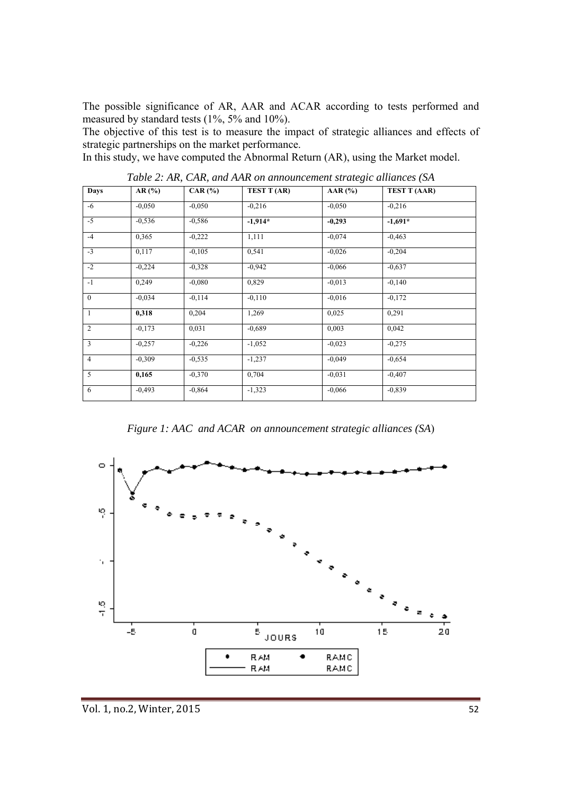The possible significance of AR, AAR and ACAR according to tests performed and measured by standard tests (1%, 5% and 10%).

The objective of this test is to measure the impact of strategic alliances and effects of strategic partnerships on the market performance.

In this study, we have computed the Abnormal Return (AR), using the Market model.

| <b>Days</b>    | AR(%)    | CAR $(% )$ | TEST T (AR) | AAR $(%)$ | <b>TEST T (AAR)</b> |
|----------------|----------|------------|-------------|-----------|---------------------|
| -6             | $-0.050$ | $-0.050$   | $-0,216$    | $-0.050$  | $-0,216$            |
| $-5$           | $-0,536$ | $-0,586$   | $-1,914*$   | $-0,293$  | $-1,691*$           |
| $-4$           | 0,365    | $-0,222$   | 1,111       | $-0,074$  | $-0,463$            |
| $-3$           | 0,117    | $-0,105$   | 0,541       | $-0.026$  | $-0,204$            |
| $-2$           | $-0,224$ | $-0,328$   | $-0,942$    | $-0.066$  | $-0.637$            |
| $-1$           | 0,249    | $-0.080$   | 0,829       | $-0.013$  | $-0,140$            |
| $\mathbf{0}$   | $-0.034$ | $-0,114$   | $-0,110$    | $-0,016$  | $-0,172$            |
| $\mathbf{1}$   | 0,318    | 0,204      | 1,269       | 0,025     | 0,291               |
| $\overline{2}$ | $-0.173$ | 0,031      | $-0.689$    | 0,003     | 0,042               |
| $\overline{3}$ | $-0,257$ | $-0,226$   | $-1,052$    | $-0,023$  | $-0,275$            |
| $\overline{4}$ | $-0,309$ | $-0,535$   | $-1,237$    | $-0.049$  | $-0.654$            |
| 5              | 0,165    | $-0.370$   | 0,704       | $-0.031$  | $-0,407$            |
| 6              | $-0,493$ | $-0,864$   | $-1,323$    | $-0.066$  | $-0.839$            |

*Table 2: AR, CAR, and AAR on announcement strategic alliances (SA* 

*Figure 1: AAC and ACAR on announcement strategic alliances (SA*)

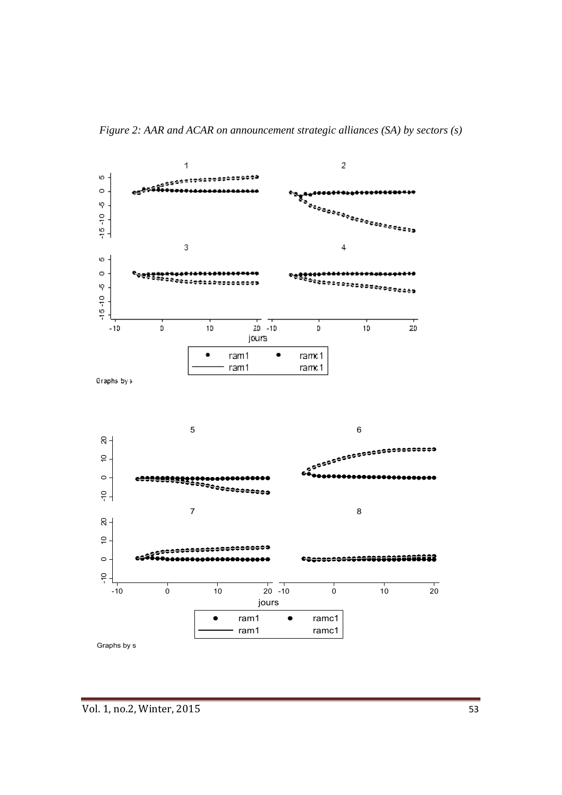

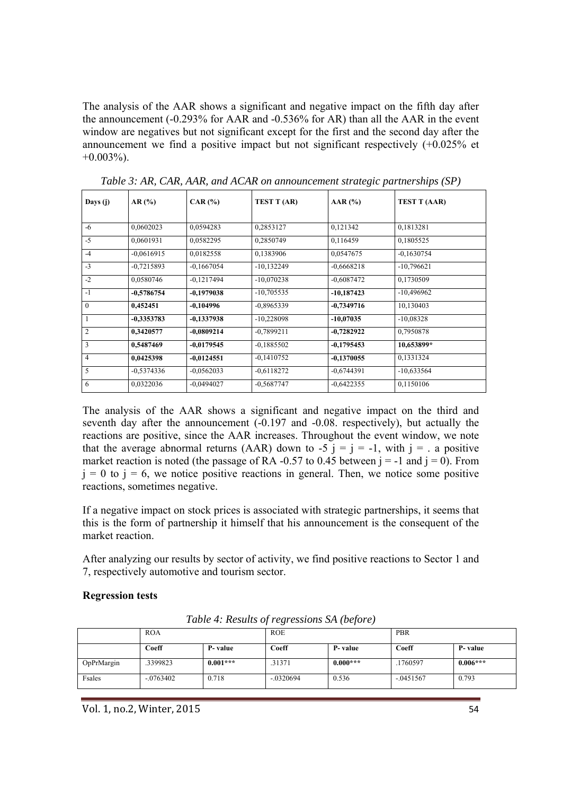The analysis of the AAR shows a significant and negative impact on the fifth day after the announcement (-0.293% for AAR and -0.536% for AR) than all the AAR in the event window are negatives but not significant except for the first and the second day after the announcement we find a positive impact but not significant respectively (+0.025% et  $+0.003\%$ ).

| Days (j)       | AR(%)        | $CAR$ $\left(\frac{9}{6}\right)$ | TEST T (AR)  | AAR (%)      | <b>TEST T (AAR)</b> |
|----------------|--------------|----------------------------------|--------------|--------------|---------------------|
|                |              |                                  |              |              |                     |
| $-6$           | 0,0602023    | 0,0594283                        | 0,2853127    | 0,121342     | 0.1813281           |
| $-5$           | 0,0601931    | 0,0582295                        | 0,2850749    | 0,116459     | 0,1805525           |
| $-4$           | $-0.0616915$ | 0,0182558                        | 0,1383906    | 0,0547675    | $-0,1630754$        |
| $-3$           | $-0.7215893$ | $-0.1667054$                     | $-10,132249$ | $-0,6668218$ | $-10,796621$        |
| $-2$           | 0,0580746    | $-0,1217494$                     | $-10,070238$ | $-0,6087472$ | 0,1730509           |
| $-1$           | $-0,5786754$ | $-0,1979038$                     | $-10,705535$ | $-10,187423$ | $-10,496962$        |
| $\mathbf{0}$   | 0,452451     | $-0,104996$                      | $-0.8965339$ | $-0,7349716$ | 10,130403           |
| $\mathbf{1}$   | $-0,3353783$ | $-0,1337938$                     | $-10,228098$ | $-10,07035$  | $-10,08328$         |
| $\overline{2}$ | 0,3420577    | $-0,0809214$                     | $-0,7899211$ | $-0,7282922$ | 0,7950878           |
| 3              | 0,5487469    | $-0.0179545$                     | $-0.1885502$ | $-0,1795453$ | 10,653899*          |
| $\overline{4}$ | 0,0425398    | $-0.0124551$                     | $-0,1410752$ | $-0,1370055$ | 0,1331324           |
| 5              | $-0.5374336$ | $-0.0562033$                     | $-0.6118272$ | $-0,6744391$ | $-10,633564$        |
| 6              | 0,0322036    | $-0,0494027$                     | $-0.5687747$ | $-0,6422355$ | 0,1150106           |

*Table 3: AR, CAR, AAR, and ACAR on announcement strategic partnerships (SP)* 

The analysis of the AAR shows a significant and negative impact on the third and seventh day after the announcement (-0.197 and -0.08. respectively), but actually the reactions are positive, since the AAR increases. Throughout the event window, we note that the average abnormal returns (AAR) down to -5  $i = j = -1$ , with  $j = i$ . a positive market reaction is noted (the passage of RA -0.57 to 0.45 between  $i = -1$  and  $i = 0$ ). From  $j = 0$  to  $j = 6$ , we notice positive reactions in general. Then, we notice some positive reactions, sometimes negative.

If a negative impact on stock prices is associated with strategic partnerships, it seems that this is the form of partnership it himself that his announcement is the consequent of the market reaction.

After analyzing our results by sector of activity, we find positive reactions to Sector 1 and 7, respectively automotive and tourism sector.

#### **Regression tests**

|            | <b>ROA</b>  |            | <b>ROE</b>  |            | PBR         |            |
|------------|-------------|------------|-------------|------------|-------------|------------|
|            | Coeff       | P- value   | Coeff       | P-value    | Coeff       | P-value    |
| OpPrMargin | .3399823    | $0.001***$ | .31371      | $0.000***$ | .1760597    | $0.006***$ |
| Fsales     | $-.0763402$ | 0.718      | $-.0320694$ | 0.536      | $-.0451567$ | 0.793      |

*Table 4: Results of regressions SA (before)* 

Vol. 1, no.2, Winter, 2015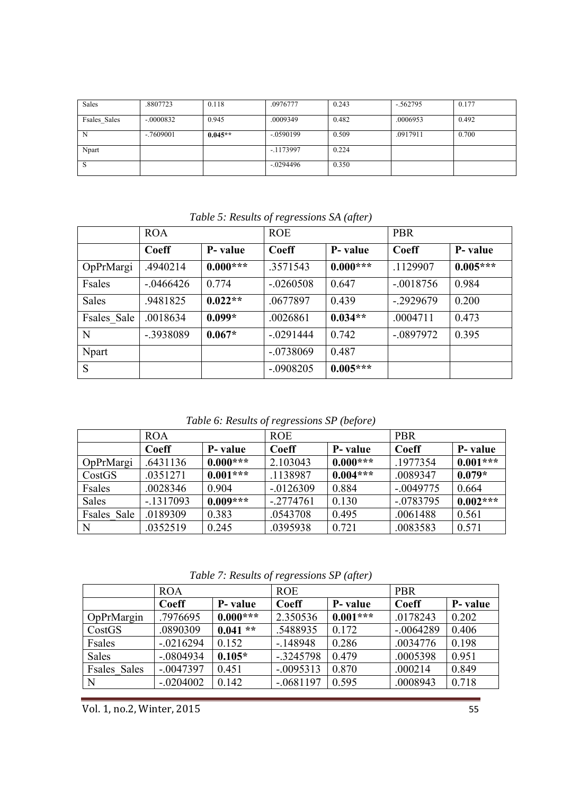| Sales        | .8807723     | 0.118     | .0976777    | 0.243 | $-.562795$ | 0.177 |
|--------------|--------------|-----------|-------------|-------|------------|-------|
| Fsales Sales | $-.0000832$  | 0.945     | .0009349    | 0.482 | .0006953   | 0.492 |
| N            | $-0.7609001$ | $0.045**$ | $-.0590199$ | 0.509 | .0917911   | 0.700 |
| Npart        |              |           | $-.1173997$ | 0.224 |            |       |
| ъ.           |              |           | $-.0294496$ | 0.350 |            |       |

|              | <b>ROA</b>   |            | <b>ROE</b>  |            | <b>PBR</b>  |            |
|--------------|--------------|------------|-------------|------------|-------------|------------|
|              | Coeff        | P- value   | Coeff       | P- value   | Coeff       | P- value   |
| OpPrMargi    | .4940214     | $0.000***$ | .3571543    | $0.000***$ | .1129907    | $0.005***$ |
| Fsales       | $-0.0466426$ | 0.774      | $-.0260508$ | 0.647      | $-.0018756$ | 0.984      |
| Sales        | .9481825     | $0.022**$  | .0677897    | 0.439      | $-.2929679$ | 0.200      |
| Fsales Sale  | .0018634     | $0.099*$   | .0026861    | $0.034**$  | .0004711    | 0.473      |
| N            | -.3938089    | $0.067*$   | $-.0291444$ | 0.742      | $-.0897972$ | 0.395      |
| <b>Npart</b> |              |            | $-.0738069$ | 0.487      |             |            |
| S            |              |            | $-.0908205$ | $0.005***$ |             |            |

*Table 5: Results of regressions SA (after)* 

*Table 6: Results of regressions SP (before)* 

|              | <b>ROA</b> |            | <b>ROE</b>  |            | <b>PBR</b>  |            |
|--------------|------------|------------|-------------|------------|-------------|------------|
|              | Coeff      | P- value   | Coeff       | P- value   | Coeff       | P- value   |
| OpPrMargi    | .6431136   | $0.000***$ | 2.103043    | $0.000***$ | .1977354    | $0.001***$ |
| CostGS       | .0351271   | $0.001***$ | .1138987    | $0.004***$ | .0089347    | $0.079*$   |
| Fsales       | .0028346   | 0.904      | $-.0126309$ | 0.884      | $-.0049775$ | 0.664      |
| <b>Sales</b> | $-1317093$ | $0.009***$ | $-.2774761$ | 0.130      | $-.0783795$ | $0.002***$ |
| Fsales Sale  | .0189309   | 0.383      | .0543708    | 0.495      | .0061488    | 0.561      |
| $\mathbf N$  | .0352519   | 0.245      | .0395938    | 0.721      | .0083583    | 0.571      |

*Table 7: Results of regressions SP (after)* 

|                     | <b>ROA</b>  |                 | <b>ROE</b>  |            | <b>PBR</b>  |          |
|---------------------|-------------|-----------------|-------------|------------|-------------|----------|
|                     | Coeff       | <b>P</b> -value | Coeff       | P-value    | Coeff       | P- value |
| OpPrMargin          | .7976695    | $0.000***$      | 2.350536    | $0.001***$ | .0178243    | 0.202    |
| CostGS              | .0890309    | $0.041**$       | .5488935    | 0.172      | $-.0064289$ | 0.406    |
| Fsales              | $-.0216294$ | 0.152           | $-.148948$  | 0.286      | .0034776    | 0.198    |
| <b>Sales</b>        | $-.0804934$ | $0.105*$        | $-.3245798$ | 0.479      | .0005398    | 0.951    |
| <b>Fsales</b> Sales | $-.0047397$ | 0.451           | $-.0095313$ | 0.870      | .000214     | 0.849    |
| $\mathbf N$         | $-.0204002$ | 0.142           | $-.0681197$ | 0.595      | .0008943    | 0.718    |

Vol. 1, no.2, Winter, 2015 55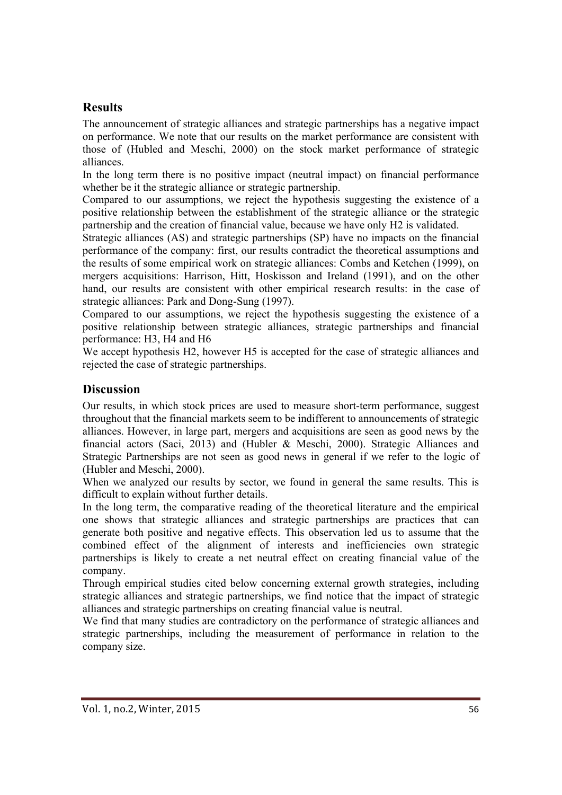## **Results**

The announcement of strategic alliances and strategic partnerships has a negative impact on performance. We note that our results on the market performance are consistent with those of (Hubled and Meschi, 2000) on the stock market performance of strategic alliances.

In the long term there is no positive impact (neutral impact) on financial performance whether be it the strategic alliance or strategic partnership.

Compared to our assumptions, we reject the hypothesis suggesting the existence of a positive relationship between the establishment of the strategic alliance or the strategic partnership and the creation of financial value, because we have only H2 is validated.

Strategic alliances (AS) and strategic partnerships (SP) have no impacts on the financial performance of the company: first, our results contradict the theoretical assumptions and the results of some empirical work on strategic alliances: Combs and Ketchen (1999), on mergers acquisitions: Harrison, Hitt, Hoskisson and Ireland (1991), and on the other hand, our results are consistent with other empirical research results: in the case of strategic alliances: Park and Dong-Sung (1997).

Compared to our assumptions, we reject the hypothesis suggesting the existence of a positive relationship between strategic alliances, strategic partnerships and financial performance: H3, H4 and H6

We accept hypothesis H2, however H5 is accepted for the case of strategic alliances and rejected the case of strategic partnerships.

## **Discussion**

Our results, in which stock prices are used to measure short-term performance, suggest throughout that the financial markets seem to be indifferent to announcements of strategic alliances. However, in large part, mergers and acquisitions are seen as good news by the financial actors (Saci, 2013) and (Hubler & Meschi, 2000). Strategic Alliances and Strategic Partnerships are not seen as good news in general if we refer to the logic of (Hubler and Meschi, 2000).

When we analyzed our results by sector, we found in general the same results. This is difficult to explain without further details.

In the long term, the comparative reading of the theoretical literature and the empirical one shows that strategic alliances and strategic partnerships are practices that can generate both positive and negative effects. This observation led us to assume that the combined effect of the alignment of interests and inefficiencies own strategic partnerships is likely to create a net neutral effect on creating financial value of the company.

Through empirical studies cited below concerning external growth strategies, including strategic alliances and strategic partnerships, we find notice that the impact of strategic alliances and strategic partnerships on creating financial value is neutral.

We find that many studies are contradictory on the performance of strategic alliances and strategic partnerships, including the measurement of performance in relation to the company size.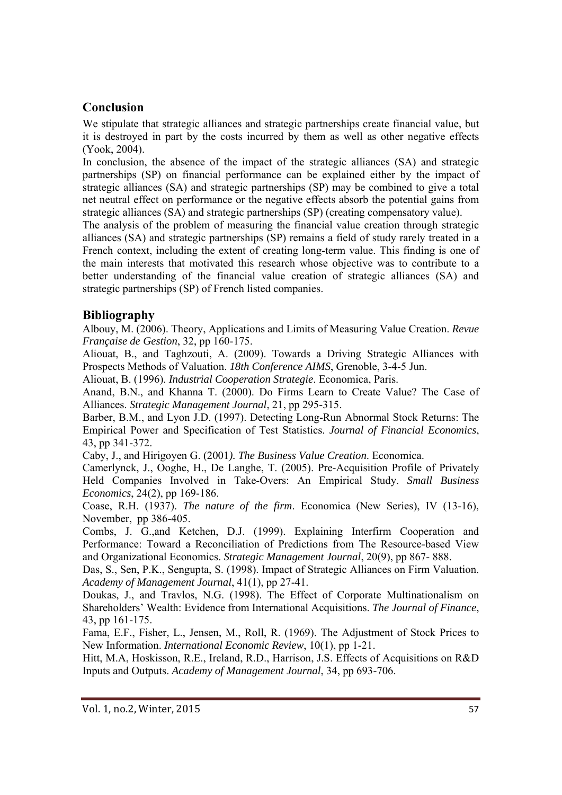## **Conclusion**

We stipulate that strategic alliances and strategic partnerships create financial value, but it is destroyed in part by the costs incurred by them as well as other negative effects (Yook, 2004).

In conclusion, the absence of the impact of the strategic alliances (SA) and strategic partnerships (SP) on financial performance can be explained either by the impact of strategic alliances (SA) and strategic partnerships (SP) may be combined to give a total net neutral effect on performance or the negative effects absorb the potential gains from strategic alliances (SA) and strategic partnerships (SP) (creating compensatory value).

The analysis of the problem of measuring the financial value creation through strategic alliances (SA) and strategic partnerships (SP) remains a field of study rarely treated in a French context, including the extent of creating long-term value. This finding is one of the main interests that motivated this research whose objective was to contribute to a better understanding of the financial value creation of strategic alliances (SA) and strategic partnerships (SP) of French listed companies.

## **Bibliography**

Albouy, M. (2006). Theory, Applications and Limits of Measuring Value Creation. *Revue Française de Gestion*, 32, pp 160-175.

Aliouat, B., and Taghzouti, A. (2009). Towards a Driving Strategic Alliances with Prospects Methods of Valuation. *18th Conference AIMS*, Grenoble, 3-4-5 Jun.

Aliouat, B. (1996). *Industrial Cooperation Strategie*. Economica, Paris.

Anand, B.N., and Khanna T. (2000). Do Firms Learn to Create Value? The Case of Alliances. *Strategic Management Journal*, 21, pp 295-315.

Barber, B.M., and Lyon J.D. (1997). Detecting Long-Run Abnormal Stock Returns: The Empirical Power and Specification of Test Statistics. *Journal of Financial Economics*, 43, pp 341-372.

Caby, J., and Hirigoyen G. (2001*). The Business Value Creation*. Economica.

Camerlynck, J., Ooghe, H., De Langhe, T. (2005). Pre-Acquisition Profile of Privately Held Companies Involved in Take-Overs: An Empirical Study. *Small Business Economics*, 24(2), pp 169-186.

Coase, R.H. (1937). *The nature of the firm*. Economica (New Series), IV (13-16), November, pp 386-405.

Combs, J. G.,and Ketchen, D.J. (1999). Explaining Interfirm Cooperation and Performance: Toward a Reconciliation of Predictions from The Resource-based View and Organizational Economics. *Strategic Management Journal*, 20(9), pp 867- 888.

Das, S., Sen, P.K., Sengupta, S. (1998). Impact of Strategic Alliances on Firm Valuation. *Academy of Management Journal*, 41(1), pp 27-41.

Doukas, J., and Travlos, N.G. (1998). The Effect of Corporate Multinationalism on Shareholders' Wealth: Evidence from International Acquisitions. *The Journal of Finance*, 43, pp 161-175.

Fama, E.F., Fisher, L., Jensen, M., Roll, R. (1969). The Adjustment of Stock Prices to New Information. *International Economic Review*, 10(1), pp 1-21.

Hitt, M.A, Hoskisson, R.E., Ireland, R.D., Harrison, J.S. Effects of Acquisitions on R&D Inputs and Outputs. *Academy of Management Journal*, 34, pp 693-706.